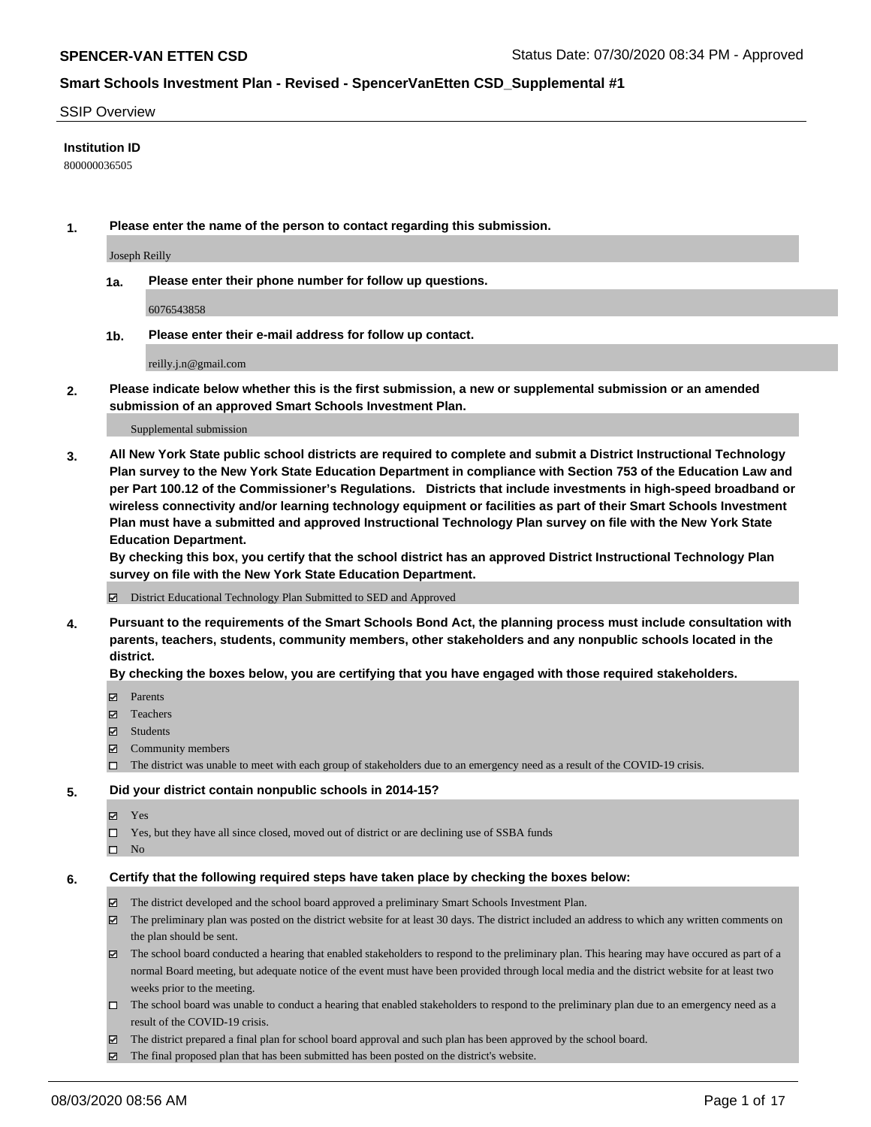#### SSIP Overview

#### **Institution ID**

800000036505

**1. Please enter the name of the person to contact regarding this submission.**

Joseph Reilly

**1a. Please enter their phone number for follow up questions.**

6076543858

**1b. Please enter their e-mail address for follow up contact.**

reilly.j.n@gmail.com

**2. Please indicate below whether this is the first submission, a new or supplemental submission or an amended submission of an approved Smart Schools Investment Plan.**

#### Supplemental submission

**3. All New York State public school districts are required to complete and submit a District Instructional Technology Plan survey to the New York State Education Department in compliance with Section 753 of the Education Law and per Part 100.12 of the Commissioner's Regulations. Districts that include investments in high-speed broadband or wireless connectivity and/or learning technology equipment or facilities as part of their Smart Schools Investment Plan must have a submitted and approved Instructional Technology Plan survey on file with the New York State Education Department.** 

**By checking this box, you certify that the school district has an approved District Instructional Technology Plan survey on file with the New York State Education Department.**

District Educational Technology Plan Submitted to SED and Approved

**4. Pursuant to the requirements of the Smart Schools Bond Act, the planning process must include consultation with parents, teachers, students, community members, other stakeholders and any nonpublic schools located in the district.** 

#### **By checking the boxes below, you are certifying that you have engaged with those required stakeholders.**

- **Ø** Parents
- Teachers
- Students
- $\boxtimes$  Community members
- The district was unable to meet with each group of stakeholders due to an emergency need as a result of the COVID-19 crisis.

#### **5. Did your district contain nonpublic schools in 2014-15?**

- **冈** Yes
- Yes, but they have all since closed, moved out of district or are declining use of SSBA funds
- $\square$  No

#### **6. Certify that the following required steps have taken place by checking the boxes below:**

- The district developed and the school board approved a preliminary Smart Schools Investment Plan.
- $\boxtimes$  The preliminary plan was posted on the district website for at least 30 days. The district included an address to which any written comments on the plan should be sent.
- The school board conducted a hearing that enabled stakeholders to respond to the preliminary plan. This hearing may have occured as part of a normal Board meeting, but adequate notice of the event must have been provided through local media and the district website for at least two weeks prior to the meeting.
- The school board was unable to conduct a hearing that enabled stakeholders to respond to the preliminary plan due to an emergency need as a result of the COVID-19 crisis.
- The district prepared a final plan for school board approval and such plan has been approved by the school board.
- $\boxtimes$  The final proposed plan that has been submitted has been posted on the district's website.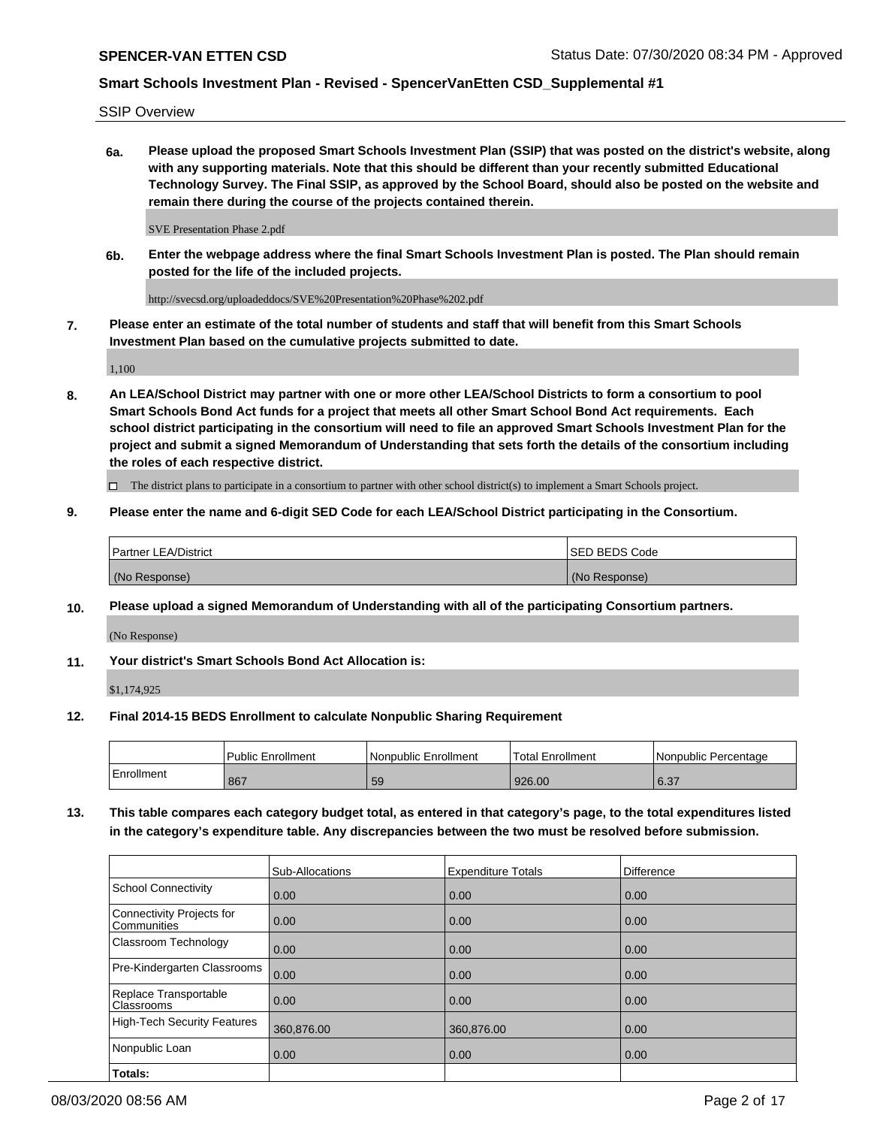SSIP Overview

**6a. Please upload the proposed Smart Schools Investment Plan (SSIP) that was posted on the district's website, along with any supporting materials. Note that this should be different than your recently submitted Educational Technology Survey. The Final SSIP, as approved by the School Board, should also be posted on the website and remain there during the course of the projects contained therein.**

SVE Presentation Phase 2.pdf

**6b. Enter the webpage address where the final Smart Schools Investment Plan is posted. The Plan should remain posted for the life of the included projects.**

http://svecsd.org/uploadeddocs/SVE%20Presentation%20Phase%202.pdf

**7. Please enter an estimate of the total number of students and staff that will benefit from this Smart Schools Investment Plan based on the cumulative projects submitted to date.**

1,100

**8. An LEA/School District may partner with one or more other LEA/School Districts to form a consortium to pool Smart Schools Bond Act funds for a project that meets all other Smart School Bond Act requirements. Each school district participating in the consortium will need to file an approved Smart Schools Investment Plan for the project and submit a signed Memorandum of Understanding that sets forth the details of the consortium including the roles of each respective district.**

 $\Box$  The district plans to participate in a consortium to partner with other school district(s) to implement a Smart Schools project.

#### **9. Please enter the name and 6-digit SED Code for each LEA/School District participating in the Consortium.**

| Partner LEA/District | <b>ISED BEDS Code</b> |
|----------------------|-----------------------|
| (No Response)        | (No Response)         |

## **10. Please upload a signed Memorandum of Understanding with all of the participating Consortium partners.**

(No Response)

**11. Your district's Smart Schools Bond Act Allocation is:**

\$1,174,925

#### **12. Final 2014-15 BEDS Enrollment to calculate Nonpublic Sharing Requirement**

|            | Public Enrollment | Nonpublic Enrollment | Total Enrollment | I Nonpublic Percentage |
|------------|-------------------|----------------------|------------------|------------------------|
| Enrollment | 867               | 59                   | 926.00           | 6.37                   |

**13. This table compares each category budget total, as entered in that category's page, to the total expenditures listed in the category's expenditure table. Any discrepancies between the two must be resolved before submission.**

|                                          | Sub-Allocations | <b>Expenditure Totals</b> | Difference |
|------------------------------------------|-----------------|---------------------------|------------|
| <b>School Connectivity</b>               | 0.00            | 0.00                      | 0.00       |
| Connectivity Projects for<br>Communities | 0.00            | 0.00                      | 0.00       |
| Classroom Technology                     | 0.00            | 0.00                      | 0.00       |
| Pre-Kindergarten Classrooms              | 0.00            | 0.00                      | 0.00       |
| Replace Transportable<br>Classrooms      | 0.00            | 0.00                      | 0.00       |
| <b>High-Tech Security Features</b>       | 360,876.00      | 360,876.00                | 0.00       |
| Nonpublic Loan                           | 0.00            | 0.00                      | 0.00       |
| Totals:                                  |                 |                           |            |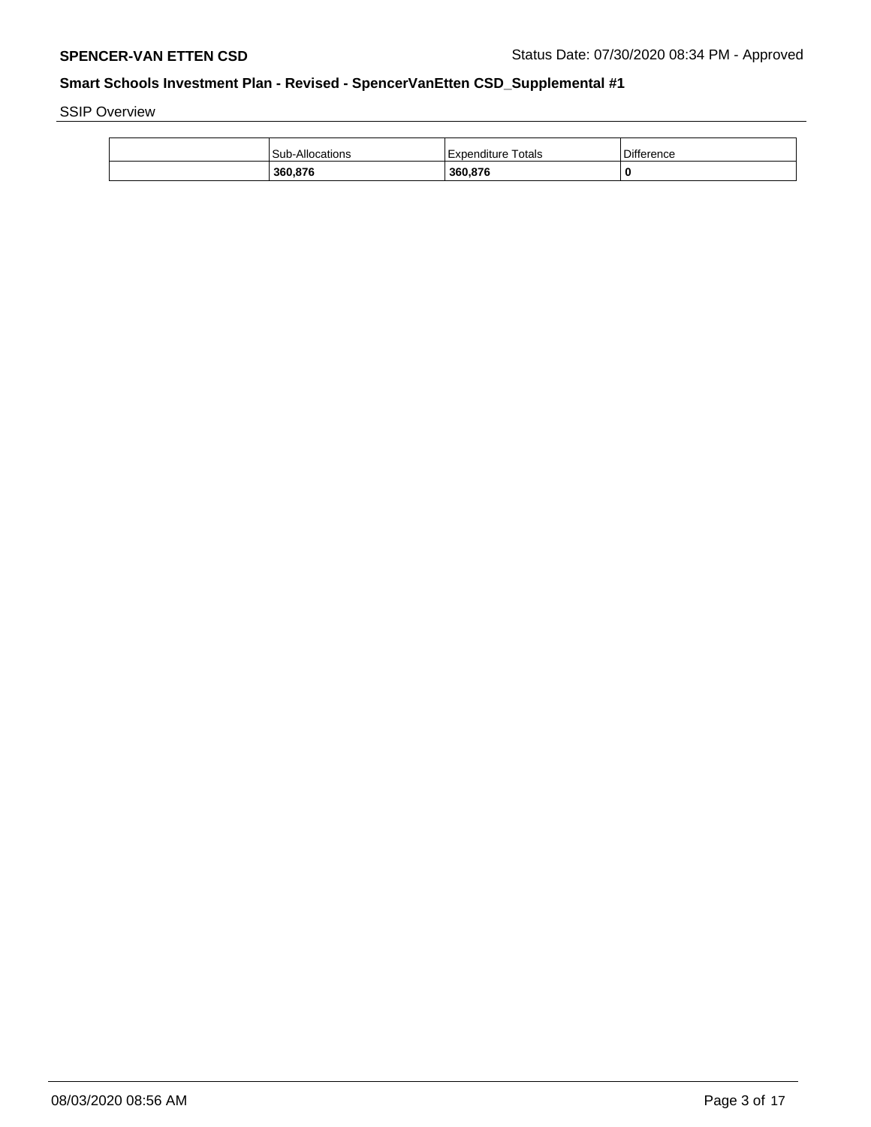SSIP Overview

| <b>Sub-Allocations</b> | Expenditure Totals | <b>Difference</b> |
|------------------------|--------------------|-------------------|
| 360,876                | 360.876            | 0                 |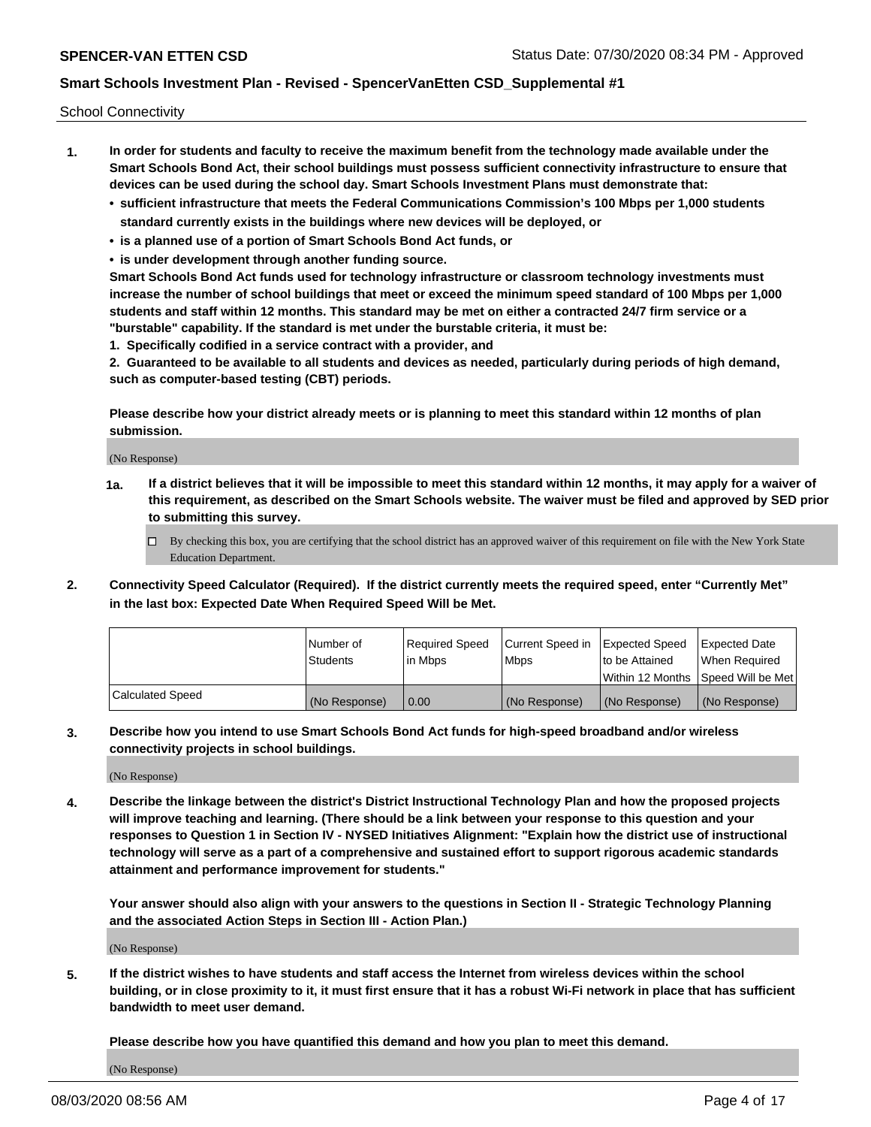School Connectivity

- **1. In order for students and faculty to receive the maximum benefit from the technology made available under the Smart Schools Bond Act, their school buildings must possess sufficient connectivity infrastructure to ensure that devices can be used during the school day. Smart Schools Investment Plans must demonstrate that:**
	- **• sufficient infrastructure that meets the Federal Communications Commission's 100 Mbps per 1,000 students standard currently exists in the buildings where new devices will be deployed, or**
	- **• is a planned use of a portion of Smart Schools Bond Act funds, or**
	- **• is under development through another funding source.**

**Smart Schools Bond Act funds used for technology infrastructure or classroom technology investments must increase the number of school buildings that meet or exceed the minimum speed standard of 100 Mbps per 1,000 students and staff within 12 months. This standard may be met on either a contracted 24/7 firm service or a "burstable" capability. If the standard is met under the burstable criteria, it must be:**

**1. Specifically codified in a service contract with a provider, and**

**2. Guaranteed to be available to all students and devices as needed, particularly during periods of high demand, such as computer-based testing (CBT) periods.**

**Please describe how your district already meets or is planning to meet this standard within 12 months of plan submission.**

(No Response)

**1a. If a district believes that it will be impossible to meet this standard within 12 months, it may apply for a waiver of this requirement, as described on the Smart Schools website. The waiver must be filed and approved by SED prior to submitting this survey.**

 $\Box$  By checking this box, you are certifying that the school district has an approved waiver of this requirement on file with the New York State Education Department.

**2. Connectivity Speed Calculator (Required). If the district currently meets the required speed, enter "Currently Met" in the last box: Expected Date When Required Speed Will be Met.**

|                  | l Number of     | Required Speed | Current Speed in | Expected Speed | Expected Date                           |
|------------------|-----------------|----------------|------------------|----------------|-----------------------------------------|
|                  | <b>Students</b> | In Mbps        | l Mbps           | to be Attained | When Required                           |
|                  |                 |                |                  |                | l Within 12 Months ISpeed Will be Met l |
| Calculated Speed | (No Response)   | 0.00           | (No Response)    | (No Response)  | (No Response)                           |

**3. Describe how you intend to use Smart Schools Bond Act funds for high-speed broadband and/or wireless connectivity projects in school buildings.**

(No Response)

**4. Describe the linkage between the district's District Instructional Technology Plan and how the proposed projects will improve teaching and learning. (There should be a link between your response to this question and your responses to Question 1 in Section IV - NYSED Initiatives Alignment: "Explain how the district use of instructional technology will serve as a part of a comprehensive and sustained effort to support rigorous academic standards attainment and performance improvement for students."** 

**Your answer should also align with your answers to the questions in Section II - Strategic Technology Planning and the associated Action Steps in Section III - Action Plan.)**

(No Response)

**5. If the district wishes to have students and staff access the Internet from wireless devices within the school building, or in close proximity to it, it must first ensure that it has a robust Wi-Fi network in place that has sufficient bandwidth to meet user demand.**

**Please describe how you have quantified this demand and how you plan to meet this demand.**

(No Response)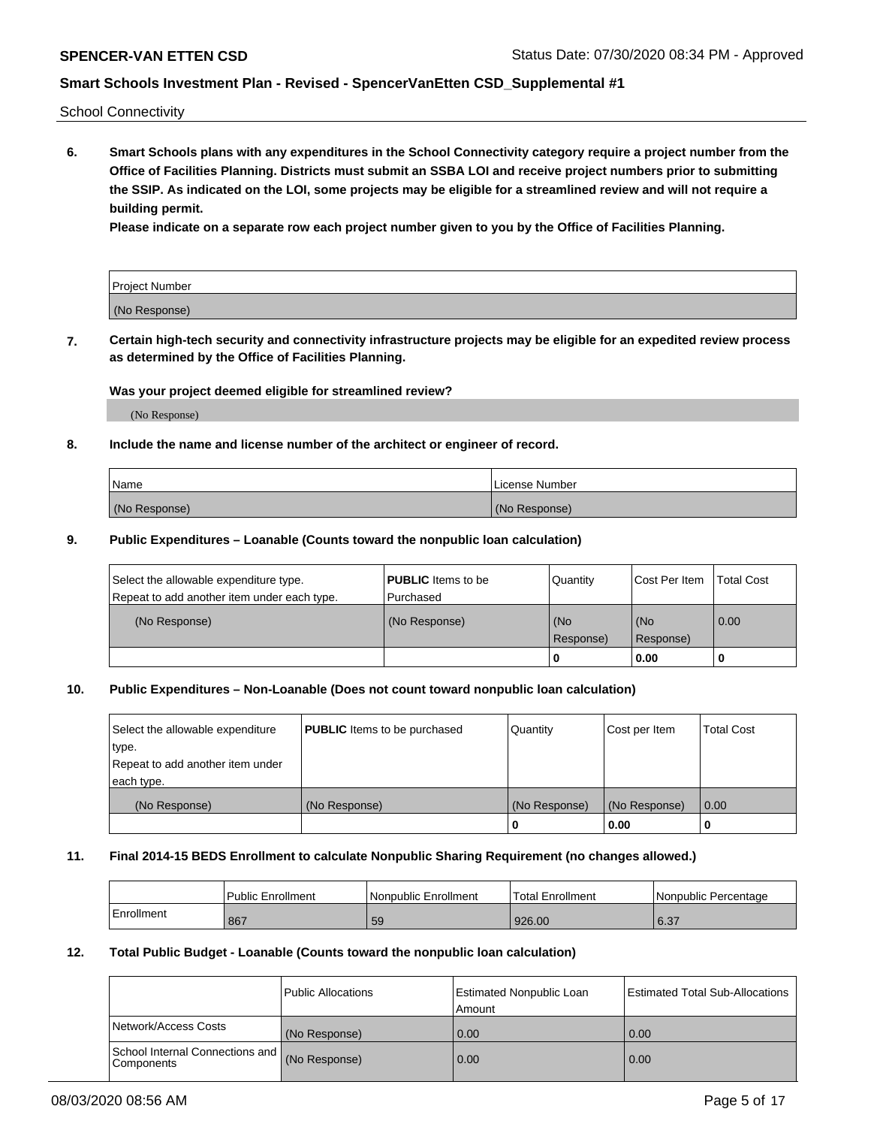School Connectivity

**6. Smart Schools plans with any expenditures in the School Connectivity category require a project number from the Office of Facilities Planning. Districts must submit an SSBA LOI and receive project numbers prior to submitting the SSIP. As indicated on the LOI, some projects may be eligible for a streamlined review and will not require a building permit.**

**Please indicate on a separate row each project number given to you by the Office of Facilities Planning.**

| Project Number |  |
|----------------|--|
| (No Response)  |  |

**7. Certain high-tech security and connectivity infrastructure projects may be eligible for an expedited review process as determined by the Office of Facilities Planning.**

## **Was your project deemed eligible for streamlined review?**

(No Response)

## **8. Include the name and license number of the architect or engineer of record.**

| Name          | License Number |
|---------------|----------------|
| (No Response) | (No Response)  |

#### **9. Public Expenditures – Loanable (Counts toward the nonpublic loan calculation)**

| Select the allowable expenditure type.<br>Repeat to add another item under each type. | <b>PUBLIC</b> Items to be<br>l Purchased | Quantity           | Cost Per Item    | <b>Total Cost</b> |
|---------------------------------------------------------------------------------------|------------------------------------------|--------------------|------------------|-------------------|
| (No Response)                                                                         | (No Response)                            | l (No<br>Response) | (No<br>Response) | $\overline{0.00}$ |
|                                                                                       |                                          | O                  | 0.00             |                   |

## **10. Public Expenditures – Non-Loanable (Does not count toward nonpublic loan calculation)**

| Select the allowable expenditure<br>type.<br>Repeat to add another item under<br>each type. | <b>PUBLIC</b> Items to be purchased | Quantity      | Cost per Item | <b>Total Cost</b> |
|---------------------------------------------------------------------------------------------|-------------------------------------|---------------|---------------|-------------------|
| (No Response)                                                                               | (No Response)                       | (No Response) | (No Response) | 0.00              |
|                                                                                             |                                     |               | 0.00          |                   |

#### **11. Final 2014-15 BEDS Enrollment to calculate Nonpublic Sharing Requirement (no changes allowed.)**

|            | Public Enrollment | l Nonpublic Enrollment | <b>Total Enrollment</b> | Nonpublic Percentage |
|------------|-------------------|------------------------|-------------------------|----------------------|
| Enrollment | 867               | 59                     | 926.00                  | 16.37                |

#### **12. Total Public Budget - Loanable (Counts toward the nonpublic loan calculation)**

|                                                      | Public Allocations | <b>Estimated Nonpublic Loan</b><br>Amount | Estimated Total Sub-Allocations |
|------------------------------------------------------|--------------------|-------------------------------------------|---------------------------------|
| Network/Access Costs                                 | (No Response)      | 0.00                                      | 0.00                            |
| School Internal Connections and<br><b>Components</b> | (No Response)      | 0.00                                      | 0.00                            |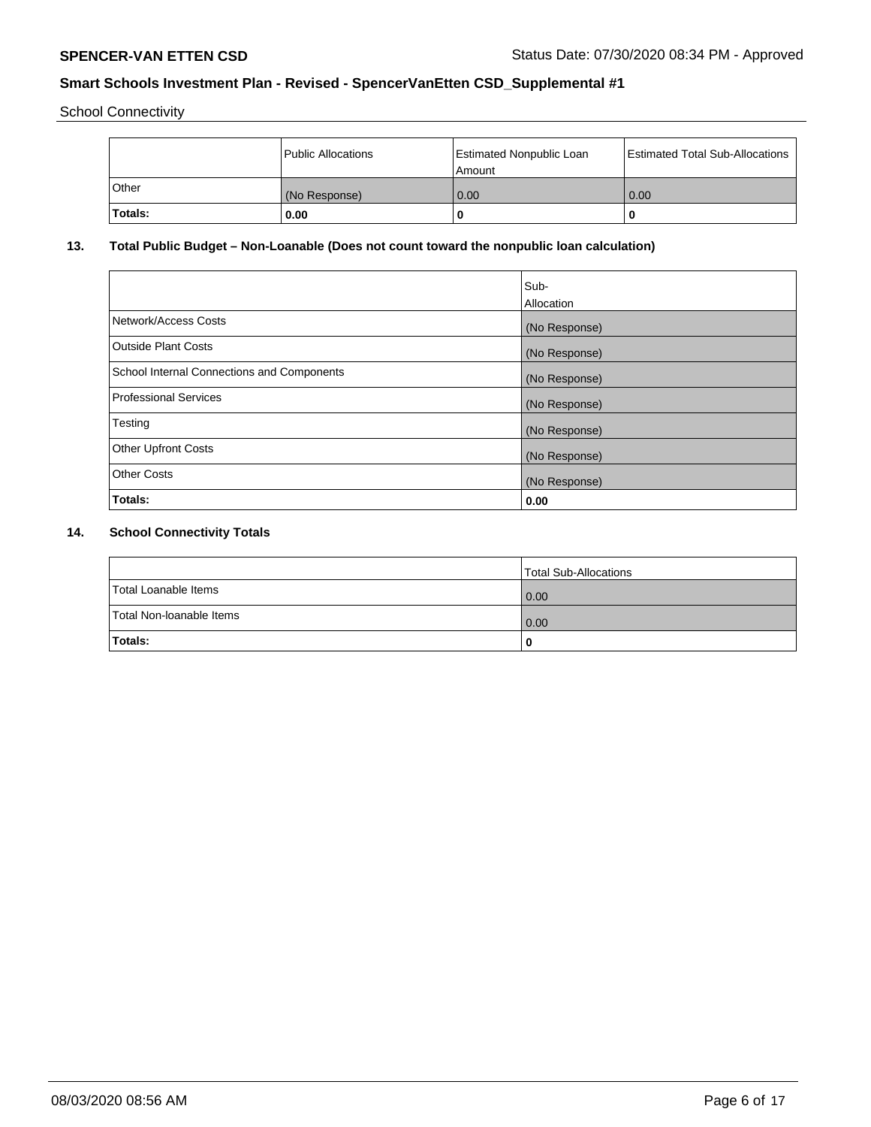School Connectivity

|         | <b>Public Allocations</b> | <b>Estimated Nonpublic Loan</b><br>l Amount i | <b>Estimated Total Sub-Allocations</b> |
|---------|---------------------------|-----------------------------------------------|----------------------------------------|
| Other   | (No Response)             | 0.00                                          | 0.00                                   |
| Totals: | 0.00                      | 0                                             | ш                                      |

## **13. Total Public Budget – Non-Loanable (Does not count toward the nonpublic loan calculation)**

| Sub-<br>Allocation |
|--------------------|
| (No Response)      |
| (No Response)      |
| (No Response)      |
| (No Response)      |
| (No Response)      |
| (No Response)      |
| (No Response)      |
| 0.00               |
|                    |

## **14. School Connectivity Totals**

|                          | Total Sub-Allocations |
|--------------------------|-----------------------|
| Total Loanable Items     | 0.00                  |
| Total Non-Ioanable Items | 0.00                  |
| Totals:                  |                       |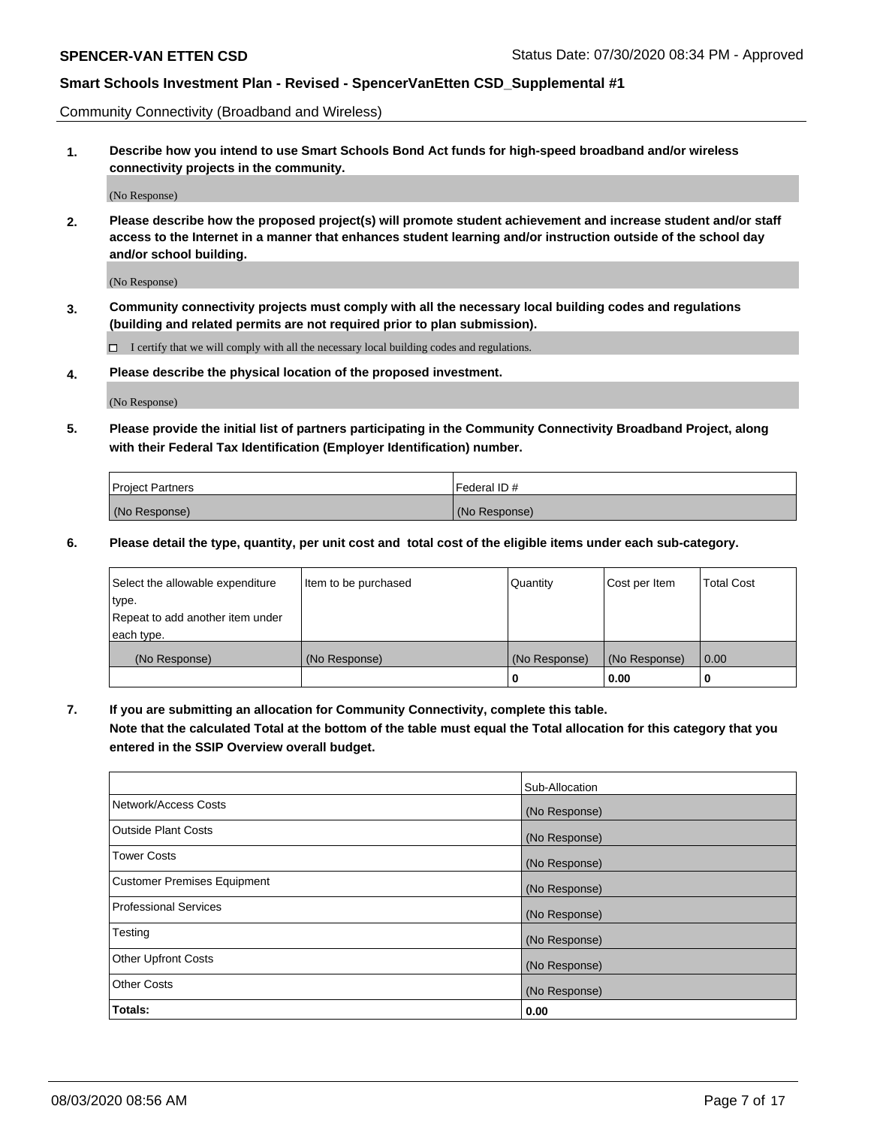Community Connectivity (Broadband and Wireless)

**1. Describe how you intend to use Smart Schools Bond Act funds for high-speed broadband and/or wireless connectivity projects in the community.**

(No Response)

**2. Please describe how the proposed project(s) will promote student achievement and increase student and/or staff access to the Internet in a manner that enhances student learning and/or instruction outside of the school day and/or school building.**

(No Response)

**3. Community connectivity projects must comply with all the necessary local building codes and regulations (building and related permits are not required prior to plan submission).**

 $\Box$  I certify that we will comply with all the necessary local building codes and regulations.

**4. Please describe the physical location of the proposed investment.**

(No Response)

**5. Please provide the initial list of partners participating in the Community Connectivity Broadband Project, along with their Federal Tax Identification (Employer Identification) number.**

| <b>Project Partners</b> | l Federal ID # |
|-------------------------|----------------|
| (No Response)           | (No Response)  |

**6. Please detail the type, quantity, per unit cost and total cost of the eligible items under each sub-category.**

| Select the allowable expenditure | Item to be purchased | Quantity      | Cost per Item | <b>Total Cost</b> |
|----------------------------------|----------------------|---------------|---------------|-------------------|
| type.                            |                      |               |               |                   |
| Repeat to add another item under |                      |               |               |                   |
| each type.                       |                      |               |               |                   |
| (No Response)                    | (No Response)        | (No Response) | (No Response) | 0.00              |
|                                  |                      | U             | 0.00          |                   |

**7. If you are submitting an allocation for Community Connectivity, complete this table.**

**Note that the calculated Total at the bottom of the table must equal the Total allocation for this category that you entered in the SSIP Overview overall budget.**

|                                    | Sub-Allocation |
|------------------------------------|----------------|
| Network/Access Costs               | (No Response)  |
| Outside Plant Costs                | (No Response)  |
| <b>Tower Costs</b>                 | (No Response)  |
| <b>Customer Premises Equipment</b> | (No Response)  |
| <b>Professional Services</b>       | (No Response)  |
| Testing                            | (No Response)  |
| <b>Other Upfront Costs</b>         | (No Response)  |
| <b>Other Costs</b>                 | (No Response)  |
| Totals:                            | 0.00           |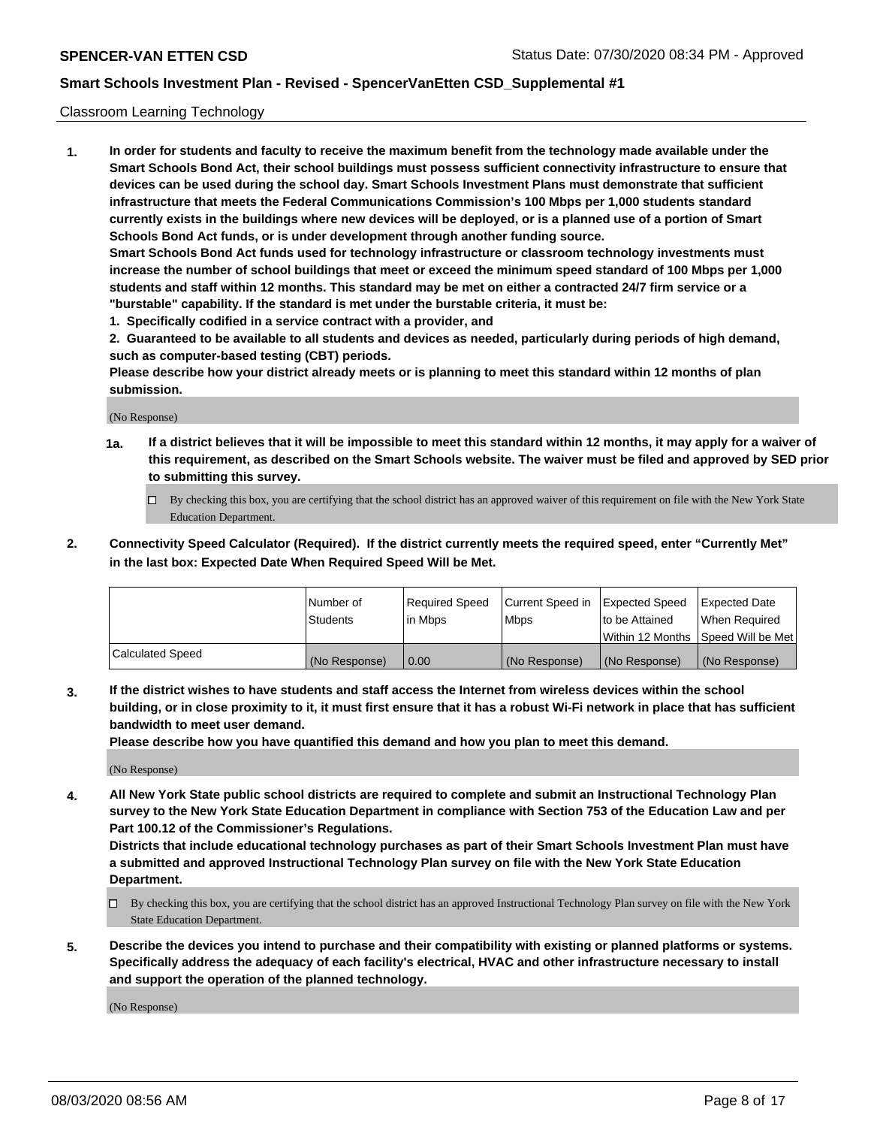#### Classroom Learning Technology

**1. In order for students and faculty to receive the maximum benefit from the technology made available under the Smart Schools Bond Act, their school buildings must possess sufficient connectivity infrastructure to ensure that devices can be used during the school day. Smart Schools Investment Plans must demonstrate that sufficient infrastructure that meets the Federal Communications Commission's 100 Mbps per 1,000 students standard currently exists in the buildings where new devices will be deployed, or is a planned use of a portion of Smart Schools Bond Act funds, or is under development through another funding source. Smart Schools Bond Act funds used for technology infrastructure or classroom technology investments must increase the number of school buildings that meet or exceed the minimum speed standard of 100 Mbps per 1,000 students and staff within 12 months. This standard may be met on either a contracted 24/7 firm service or a**

**"burstable" capability. If the standard is met under the burstable criteria, it must be:**

**1. Specifically codified in a service contract with a provider, and**

**2. Guaranteed to be available to all students and devices as needed, particularly during periods of high demand, such as computer-based testing (CBT) periods.**

**Please describe how your district already meets or is planning to meet this standard within 12 months of plan submission.**

(No Response)

- **1a. If a district believes that it will be impossible to meet this standard within 12 months, it may apply for a waiver of this requirement, as described on the Smart Schools website. The waiver must be filed and approved by SED prior to submitting this survey.**
	- By checking this box, you are certifying that the school district has an approved waiver of this requirement on file with the New York State Education Department.
- **2. Connectivity Speed Calculator (Required). If the district currently meets the required speed, enter "Currently Met" in the last box: Expected Date When Required Speed Will be Met.**

|                  | l Number of     | Required Speed | Current Speed in | <b>Expected Speed</b> | <b>Expected Date</b>                |
|------------------|-----------------|----------------|------------------|-----------------------|-------------------------------------|
|                  | <b>Students</b> | l in Mbps      | l Mbps           | to be Attained        | When Required                       |
|                  |                 |                |                  |                       | Within 12 Months  Speed Will be Met |
| Calculated Speed | (No Response)   | 0.00           | (No Response)    | l (No Response)       | (No Response)                       |

**3. If the district wishes to have students and staff access the Internet from wireless devices within the school building, or in close proximity to it, it must first ensure that it has a robust Wi-Fi network in place that has sufficient bandwidth to meet user demand.**

**Please describe how you have quantified this demand and how you plan to meet this demand.**

(No Response)

**4. All New York State public school districts are required to complete and submit an Instructional Technology Plan survey to the New York State Education Department in compliance with Section 753 of the Education Law and per Part 100.12 of the Commissioner's Regulations.**

**Districts that include educational technology purchases as part of their Smart Schools Investment Plan must have a submitted and approved Instructional Technology Plan survey on file with the New York State Education Department.**

- By checking this box, you are certifying that the school district has an approved Instructional Technology Plan survey on file with the New York State Education Department.
- **5. Describe the devices you intend to purchase and their compatibility with existing or planned platforms or systems. Specifically address the adequacy of each facility's electrical, HVAC and other infrastructure necessary to install and support the operation of the planned technology.**

(No Response)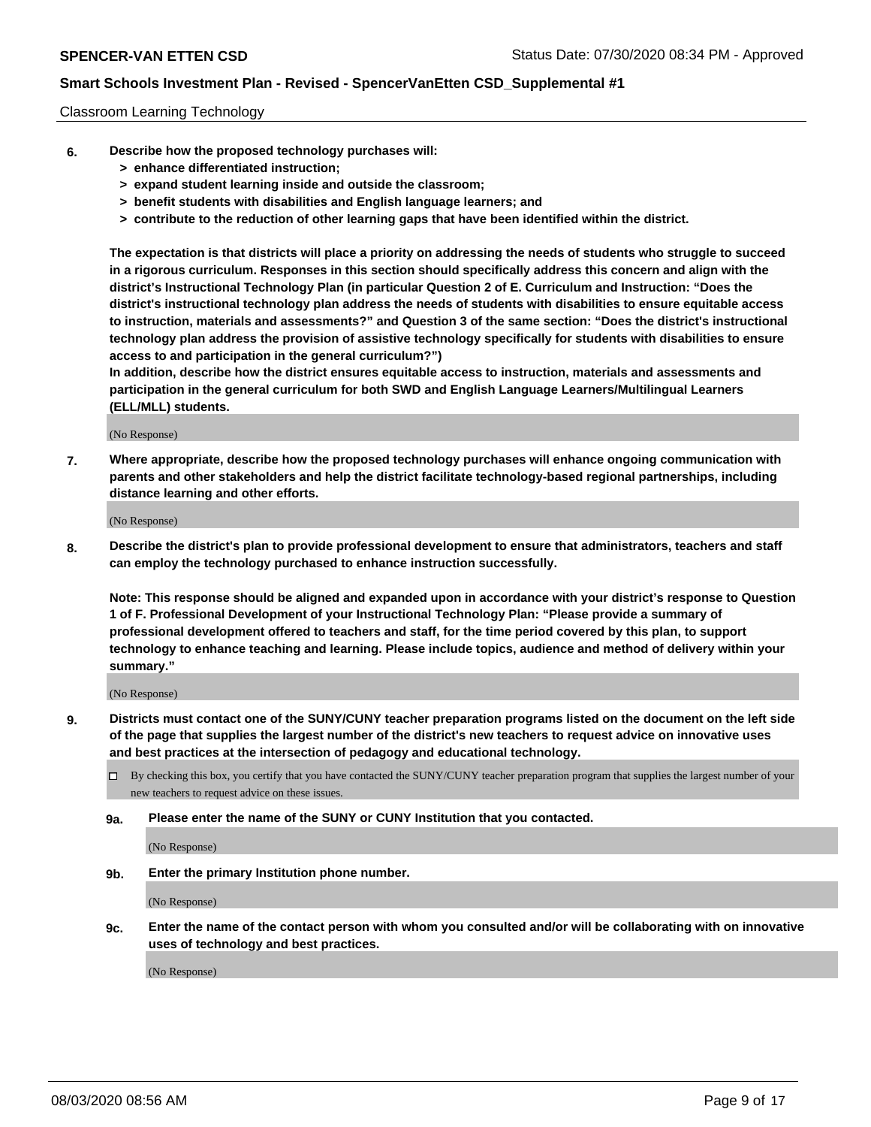#### Classroom Learning Technology

- **6. Describe how the proposed technology purchases will:**
	- **> enhance differentiated instruction;**
	- **> expand student learning inside and outside the classroom;**
	- **> benefit students with disabilities and English language learners; and**
	- **> contribute to the reduction of other learning gaps that have been identified within the district.**

**The expectation is that districts will place a priority on addressing the needs of students who struggle to succeed in a rigorous curriculum. Responses in this section should specifically address this concern and align with the district's Instructional Technology Plan (in particular Question 2 of E. Curriculum and Instruction: "Does the district's instructional technology plan address the needs of students with disabilities to ensure equitable access to instruction, materials and assessments?" and Question 3 of the same section: "Does the district's instructional technology plan address the provision of assistive technology specifically for students with disabilities to ensure access to and participation in the general curriculum?")**

**In addition, describe how the district ensures equitable access to instruction, materials and assessments and participation in the general curriculum for both SWD and English Language Learners/Multilingual Learners (ELL/MLL) students.**

(No Response)

**7. Where appropriate, describe how the proposed technology purchases will enhance ongoing communication with parents and other stakeholders and help the district facilitate technology-based regional partnerships, including distance learning and other efforts.**

(No Response)

**8. Describe the district's plan to provide professional development to ensure that administrators, teachers and staff can employ the technology purchased to enhance instruction successfully.**

**Note: This response should be aligned and expanded upon in accordance with your district's response to Question 1 of F. Professional Development of your Instructional Technology Plan: "Please provide a summary of professional development offered to teachers and staff, for the time period covered by this plan, to support technology to enhance teaching and learning. Please include topics, audience and method of delivery within your summary."**

(No Response)

- **9. Districts must contact one of the SUNY/CUNY teacher preparation programs listed on the document on the left side of the page that supplies the largest number of the district's new teachers to request advice on innovative uses and best practices at the intersection of pedagogy and educational technology.**
	- By checking this box, you certify that you have contacted the SUNY/CUNY teacher preparation program that supplies the largest number of your new teachers to request advice on these issues.
	- **9a. Please enter the name of the SUNY or CUNY Institution that you contacted.**

(No Response)

**9b. Enter the primary Institution phone number.**

(No Response)

**9c. Enter the name of the contact person with whom you consulted and/or will be collaborating with on innovative uses of technology and best practices.**

(No Response)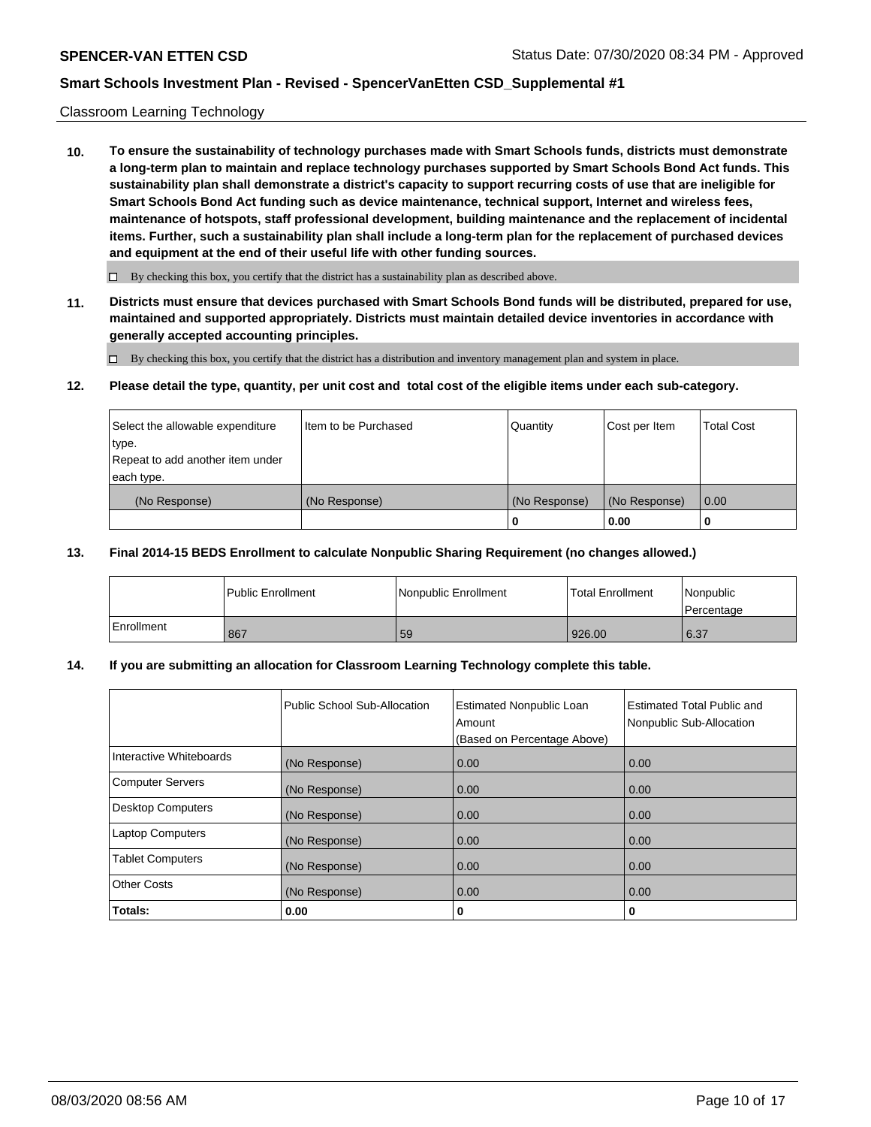## Classroom Learning Technology

**10. To ensure the sustainability of technology purchases made with Smart Schools funds, districts must demonstrate a long-term plan to maintain and replace technology purchases supported by Smart Schools Bond Act funds. This sustainability plan shall demonstrate a district's capacity to support recurring costs of use that are ineligible for Smart Schools Bond Act funding such as device maintenance, technical support, Internet and wireless fees, maintenance of hotspots, staff professional development, building maintenance and the replacement of incidental items. Further, such a sustainability plan shall include a long-term plan for the replacement of purchased devices and equipment at the end of their useful life with other funding sources.**

 $\Box$  By checking this box, you certify that the district has a sustainability plan as described above.

**11. Districts must ensure that devices purchased with Smart Schools Bond funds will be distributed, prepared for use, maintained and supported appropriately. Districts must maintain detailed device inventories in accordance with generally accepted accounting principles.**

By checking this box, you certify that the district has a distribution and inventory management plan and system in place.

#### **12. Please detail the type, quantity, per unit cost and total cost of the eligible items under each sub-category.**

| Select the allowable expenditure<br>type.<br>Repeat to add another item under | Item to be Purchased | Quantity      | Cost per Item | <b>Total Cost</b> |
|-------------------------------------------------------------------------------|----------------------|---------------|---------------|-------------------|
| each type.<br>(No Response)                                                   | (No Response)        | (No Response) | (No Response) | 0.00              |
|                                                                               |                      | 0             | 0.00          |                   |

## **13. Final 2014-15 BEDS Enrollment to calculate Nonpublic Sharing Requirement (no changes allowed.)**

|            | <b>Public Enrollment</b> | Nonpublic Enrollment | <b>Total Enrollment</b> | Nonpublic<br>l Percentage |
|------------|--------------------------|----------------------|-------------------------|---------------------------|
| Enrollment | 867                      | 59                   | 926.00                  | 16.37                     |

## **14. If you are submitting an allocation for Classroom Learning Technology complete this table.**

|                         | Public School Sub-Allocation | <b>Estimated Nonpublic Loan</b><br>Amount<br>(Based on Percentage Above) | <b>Estimated Total Public and</b><br>Nonpublic Sub-Allocation |
|-------------------------|------------------------------|--------------------------------------------------------------------------|---------------------------------------------------------------|
| Interactive Whiteboards | (No Response)                | 0.00                                                                     | 0.00                                                          |
| Computer Servers        | (No Response)                | 0.00                                                                     | 0.00                                                          |
| Desktop Computers       | (No Response)                | 0.00                                                                     | 0.00                                                          |
| <b>Laptop Computers</b> | (No Response)                | 0.00                                                                     | 0.00                                                          |
| <b>Tablet Computers</b> | (No Response)                | 0.00                                                                     | 0.00                                                          |
| Other Costs             | (No Response)                | 0.00                                                                     | 0.00                                                          |
| Totals:                 | 0.00                         | 0                                                                        | 0                                                             |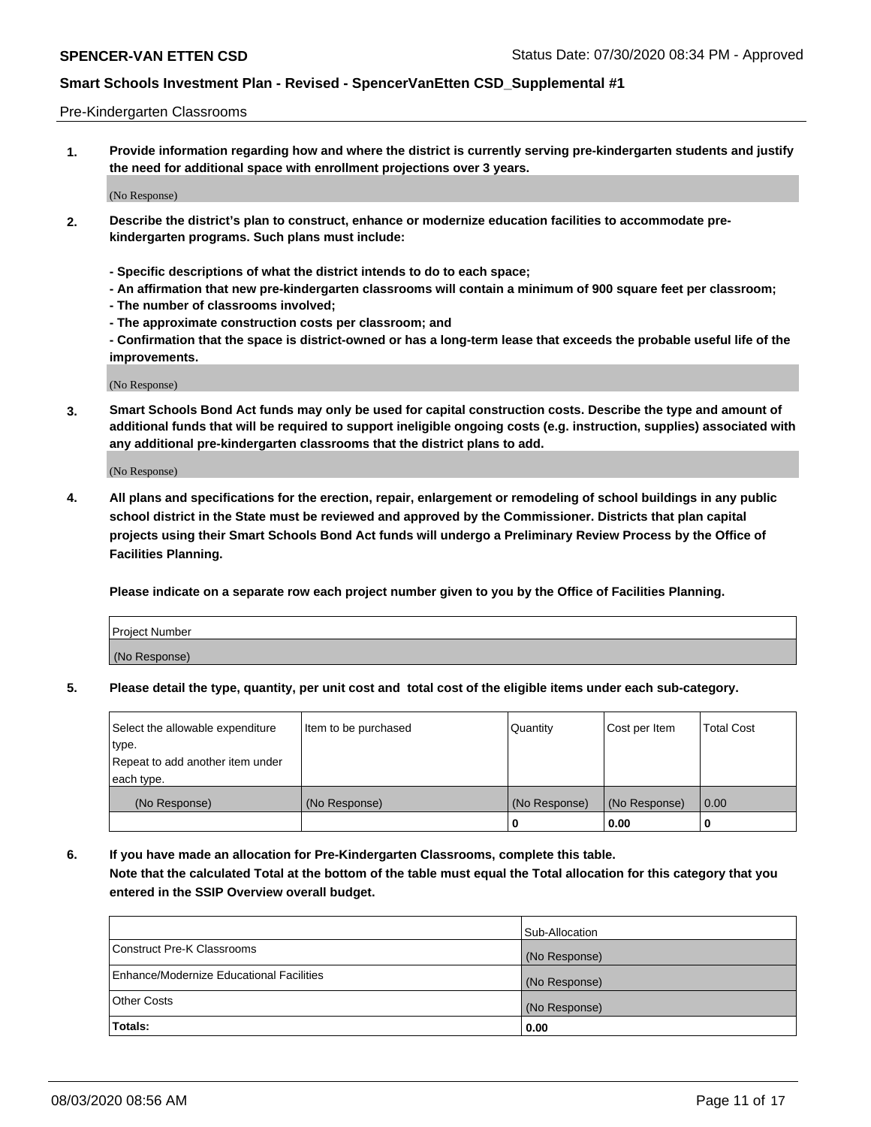#### Pre-Kindergarten Classrooms

**1. Provide information regarding how and where the district is currently serving pre-kindergarten students and justify the need for additional space with enrollment projections over 3 years.**

(No Response)

- **2. Describe the district's plan to construct, enhance or modernize education facilities to accommodate prekindergarten programs. Such plans must include:**
	- **Specific descriptions of what the district intends to do to each space;**
	- **An affirmation that new pre-kindergarten classrooms will contain a minimum of 900 square feet per classroom;**
	- **The number of classrooms involved;**
	- **The approximate construction costs per classroom; and**
	- **Confirmation that the space is district-owned or has a long-term lease that exceeds the probable useful life of the improvements.**

(No Response)

**3. Smart Schools Bond Act funds may only be used for capital construction costs. Describe the type and amount of additional funds that will be required to support ineligible ongoing costs (e.g. instruction, supplies) associated with any additional pre-kindergarten classrooms that the district plans to add.**

(No Response)

**4. All plans and specifications for the erection, repair, enlargement or remodeling of school buildings in any public school district in the State must be reviewed and approved by the Commissioner. Districts that plan capital projects using their Smart Schools Bond Act funds will undergo a Preliminary Review Process by the Office of Facilities Planning.**

**Please indicate on a separate row each project number given to you by the Office of Facilities Planning.**

| Project Number |  |
|----------------|--|
| (No Response)  |  |
|                |  |

**5. Please detail the type, quantity, per unit cost and total cost of the eligible items under each sub-category.**

| Select the allowable expenditure | Item to be purchased | Quantity      | Cost per Item | <b>Total Cost</b> |
|----------------------------------|----------------------|---------------|---------------|-------------------|
| type.                            |                      |               |               |                   |
| Repeat to add another item under |                      |               |               |                   |
| each type.                       |                      |               |               |                   |
| (No Response)                    | (No Response)        | (No Response) | (No Response) | 0.00              |
|                                  |                      | U             | 0.00          |                   |

**6. If you have made an allocation for Pre-Kindergarten Classrooms, complete this table. Note that the calculated Total at the bottom of the table must equal the Total allocation for this category that you entered in the SSIP Overview overall budget.**

| Totals:                                  | 0.00           |
|------------------------------------------|----------------|
| <b>Other Costs</b>                       | (No Response)  |
| Enhance/Modernize Educational Facilities | (No Response)  |
| Construct Pre-K Classrooms               | (No Response)  |
|                                          | Sub-Allocation |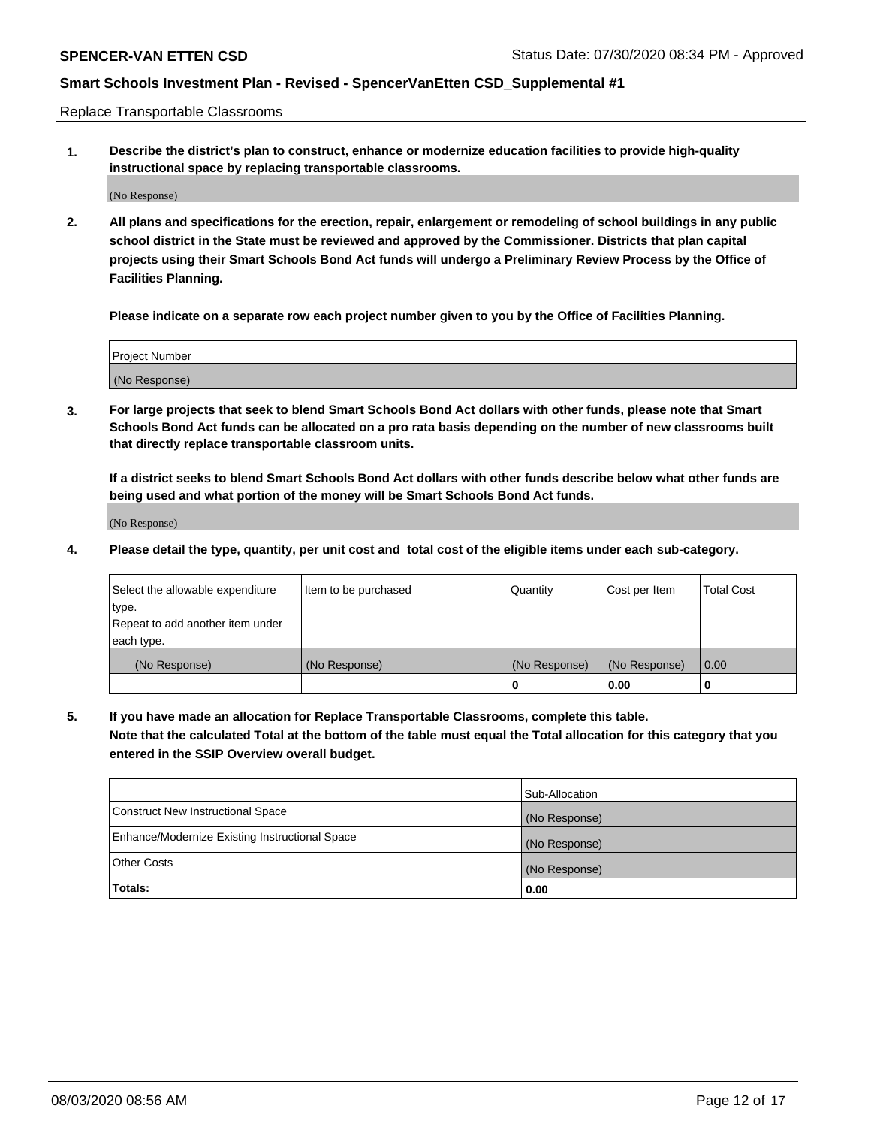Replace Transportable Classrooms

**1. Describe the district's plan to construct, enhance or modernize education facilities to provide high-quality instructional space by replacing transportable classrooms.**

(No Response)

**2. All plans and specifications for the erection, repair, enlargement or remodeling of school buildings in any public school district in the State must be reviewed and approved by the Commissioner. Districts that plan capital projects using their Smart Schools Bond Act funds will undergo a Preliminary Review Process by the Office of Facilities Planning.**

**Please indicate on a separate row each project number given to you by the Office of Facilities Planning.**

| Project Number |  |
|----------------|--|
|                |  |
| (No Response)  |  |

**3. For large projects that seek to blend Smart Schools Bond Act dollars with other funds, please note that Smart Schools Bond Act funds can be allocated on a pro rata basis depending on the number of new classrooms built that directly replace transportable classroom units.**

**If a district seeks to blend Smart Schools Bond Act dollars with other funds describe below what other funds are being used and what portion of the money will be Smart Schools Bond Act funds.**

(No Response)

**4. Please detail the type, quantity, per unit cost and total cost of the eligible items under each sub-category.**

| Select the allowable expenditure | Item to be purchased | Quantity      | Cost per Item | Total Cost |
|----------------------------------|----------------------|---------------|---------------|------------|
| ∣type.                           |                      |               |               |            |
| Repeat to add another item under |                      |               |               |            |
| each type.                       |                      |               |               |            |
| (No Response)                    | (No Response)        | (No Response) | (No Response) | 0.00       |
|                                  |                      | u             | 0.00          |            |

**5. If you have made an allocation for Replace Transportable Classrooms, complete this table. Note that the calculated Total at the bottom of the table must equal the Total allocation for this category that you entered in the SSIP Overview overall budget.**

|                                                | Sub-Allocation |
|------------------------------------------------|----------------|
| Construct New Instructional Space              | (No Response)  |
| Enhance/Modernize Existing Instructional Space | (No Response)  |
| <b>Other Costs</b>                             | (No Response)  |
| Totals:                                        | 0.00           |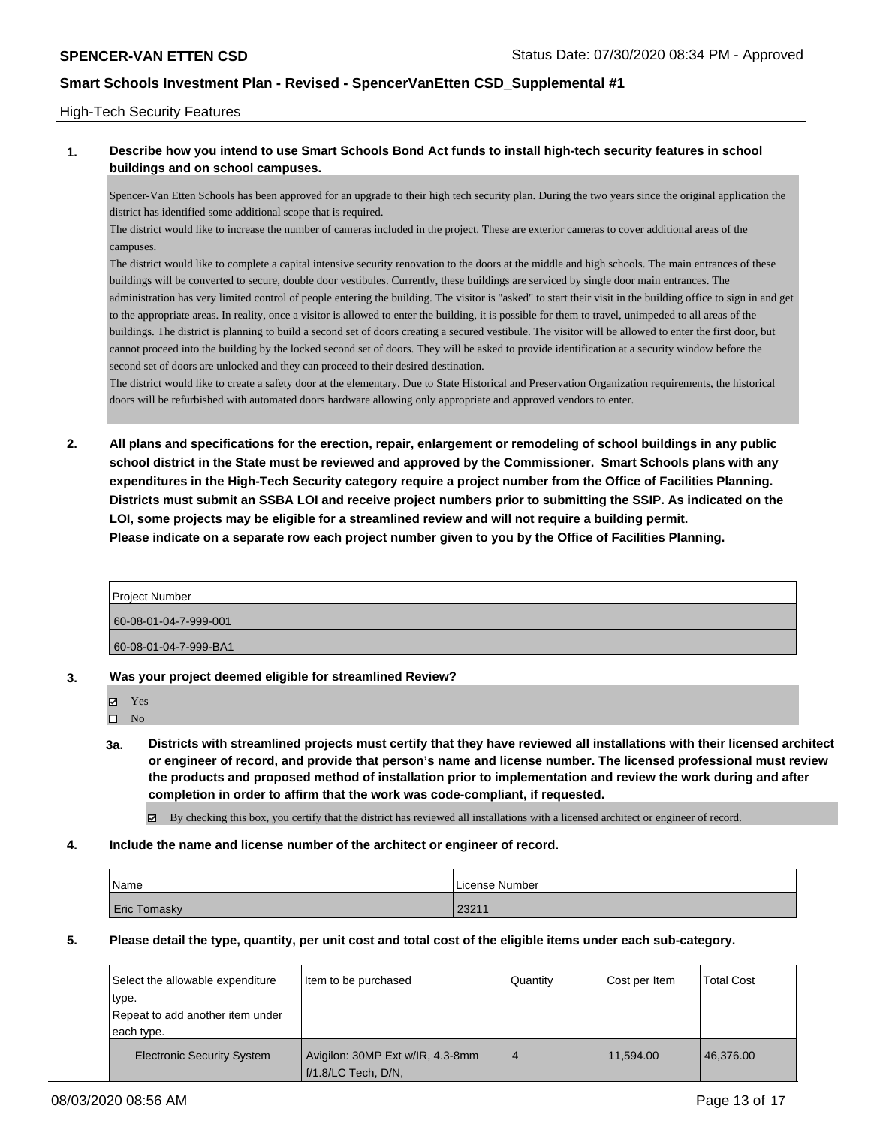#### High-Tech Security Features

## **1. Describe how you intend to use Smart Schools Bond Act funds to install high-tech security features in school buildings and on school campuses.**

Spencer-Van Etten Schools has been approved for an upgrade to their high tech security plan. During the two years since the original application the district has identified some additional scope that is required.

The district would like to increase the number of cameras included in the project. These are exterior cameras to cover additional areas of the campuses.

The district would like to complete a capital intensive security renovation to the doors at the middle and high schools. The main entrances of these buildings will be converted to secure, double door vestibules. Currently, these buildings are serviced by single door main entrances. The administration has very limited control of people entering the building. The visitor is "asked" to start their visit in the building office to sign in and get to the appropriate areas. In reality, once a visitor is allowed to enter the building, it is possible for them to travel, unimpeded to all areas of the buildings. The district is planning to build a second set of doors creating a secured vestibule. The visitor will be allowed to enter the first door, but cannot proceed into the building by the locked second set of doors. They will be asked to provide identification at a security window before the second set of doors are unlocked and they can proceed to their desired destination.

The district would like to create a safety door at the elementary. Due to State Historical and Preservation Organization requirements, the historical doors will be refurbished with automated doors hardware allowing only appropriate and approved vendors to enter.

**2. All plans and specifications for the erection, repair, enlargement or remodeling of school buildings in any public school district in the State must be reviewed and approved by the Commissioner. Smart Schools plans with any expenditures in the High-Tech Security category require a project number from the Office of Facilities Planning. Districts must submit an SSBA LOI and receive project numbers prior to submitting the SSIP. As indicated on the LOI, some projects may be eligible for a streamlined review and will not require a building permit. Please indicate on a separate row each project number given to you by the Office of Facilities Planning.**

| Project Number        |  |
|-----------------------|--|
| 60-08-01-04-7-999-001 |  |
| 60-08-01-04-7-999-BA1 |  |

**3. Was your project deemed eligible for streamlined Review?**

Yes  $\square$  No

**3a. Districts with streamlined projects must certify that they have reviewed all installations with their licensed architect or engineer of record, and provide that person's name and license number. The licensed professional must review the products and proposed method of installation prior to implementation and review the work during and after completion in order to affirm that the work was code-compliant, if requested.**

By checking this box, you certify that the district has reviewed all installations with a licensed architect or engineer of record.

#### **4. Include the name and license number of the architect or engineer of record.**

| Name                | License Number |
|---------------------|----------------|
| <b>Eric Tomasky</b> | 23211          |

**5. Please detail the type, quantity, per unit cost and total cost of the eligible items under each sub-category.**

| Select the allowable expenditure<br>type.<br>Repeat to add another item under<br>each type. | Item to be purchased<br>Quantity                        |   | Cost per Item | <b>Total Cost</b> |
|---------------------------------------------------------------------------------------------|---------------------------------------------------------|---|---------------|-------------------|
| <b>Electronic Security System</b>                                                           | Avigilon: 30MP Ext w/IR, 4.3-8mm<br>f/1.8/LC Tech, D/N, | 4 | 11.594.00     | 46.376.00         |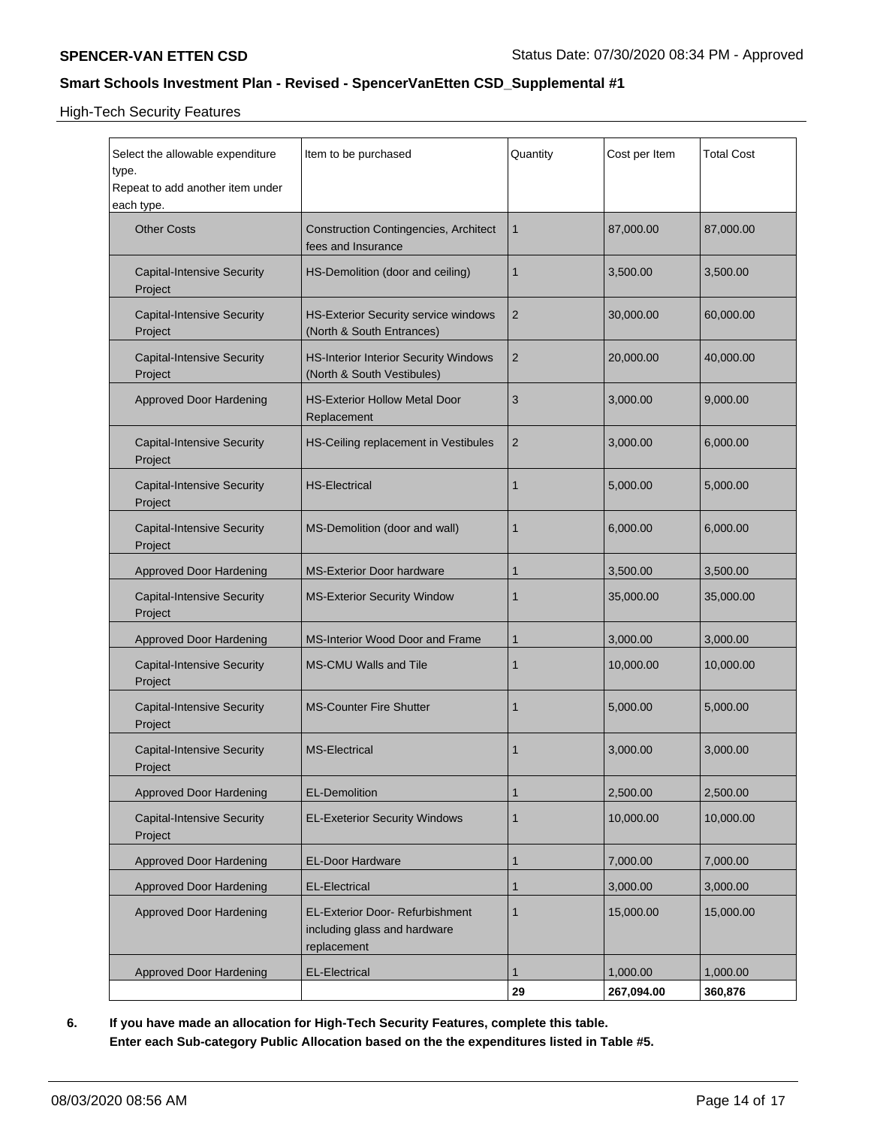High-Tech Security Features

| Select the allowable expenditure<br>type.<br>Repeat to add another item under<br>each type. | Item to be purchased                                                                  | Quantity       | Cost per Item | <b>Total Cost</b> |
|---------------------------------------------------------------------------------------------|---------------------------------------------------------------------------------------|----------------|---------------|-------------------|
| <b>Other Costs</b>                                                                          | <b>Construction Contingencies, Architect</b><br>1<br>fees and Insurance               |                | 87,000.00     | 87,000.00         |
| <b>Capital-Intensive Security</b><br>Project                                                | HS-Demolition (door and ceiling)                                                      | 1              | 3,500.00      | 3,500.00          |
| <b>Capital-Intensive Security</b><br>Project                                                | <b>HS-Exterior Security service windows</b><br>(North & South Entrances)              | $\overline{2}$ | 30,000.00     | 60,000.00         |
| <b>Capital-Intensive Security</b><br>Project                                                | <b>HS-Interior Interior Security Windows</b><br>(North & South Vestibules)            | $\overline{2}$ | 20,000.00     | 40,000.00         |
| <b>Approved Door Hardening</b>                                                              | <b>HS-Exterior Hollow Metal Door</b><br>Replacement                                   | 3              | 3,000.00      | 9,000.00          |
| <b>Capital-Intensive Security</b><br>Project                                                | HS-Ceiling replacement in Vestibules                                                  | $\overline{2}$ | 3,000.00      | 6,000.00          |
| <b>Capital-Intensive Security</b><br>Project                                                | <b>HS-Electrical</b>                                                                  | 1              | 5,000.00      | 5,000.00          |
| <b>Capital-Intensive Security</b><br>Project                                                | MS-Demolition (door and wall)                                                         | 1              | 6,000.00      | 6,000.00          |
| Approved Door Hardening                                                                     | <b>MS-Exterior Door hardware</b>                                                      | 1              | 3,500.00      | 3,500.00          |
| <b>Capital-Intensive Security</b><br>Project                                                | <b>MS-Exterior Security Window</b>                                                    | 1              | 35,000.00     | 35,000.00         |
| Approved Door Hardening                                                                     | <b>MS-Interior Wood Door and Frame</b>                                                | $\mathbf 1$    | 3,000.00      | 3,000.00          |
| <b>Capital-Intensive Security</b><br>Project                                                | <b>MS-CMU Walls and Tile</b>                                                          | 1              | 10,000.00     | 10,000.00         |
| <b>Capital-Intensive Security</b><br>Project                                                | <b>MS-Counter Fire Shutter</b>                                                        | 1              | 5,000.00      | 5,000.00          |
| <b>Capital-Intensive Security</b><br>Project                                                | <b>MS-Electrical</b>                                                                  | 1              | 3,000.00      | 3,000.00          |
| <b>Approved Door Hardening</b>                                                              | <b>EL-Demolition</b>                                                                  | 1              | 2,500.00      | 2,500.00          |
| <b>Capital-Intensive Security</b><br>Project                                                | <b>EL-Exeterior Security Windows</b>                                                  | 1              | 10,000.00     | 10,000.00         |
| <b>Approved Door Hardening</b>                                                              | <b>EL-Door Hardware</b>                                                               | 1              | 7,000.00      | 7,000.00          |
| <b>Approved Door Hardening</b>                                                              | <b>EL-Electrical</b>                                                                  | 1              | 3,000.00      | 3,000.00          |
| Approved Door Hardening                                                                     | <b>EL-Exterior Door- Refurbishment</b><br>including glass and hardware<br>replacement | $\mathbf{1}$   | 15,000.00     | 15,000.00         |
| Approved Door Hardening                                                                     | <b>EL-Electrical</b>                                                                  | 1              | 1,000.00      | 1,000.00          |
|                                                                                             |                                                                                       | 29             | 267,094.00    | 360,876           |

**6. If you have made an allocation for High-Tech Security Features, complete this table. Enter each Sub-category Public Allocation based on the the expenditures listed in Table #5.**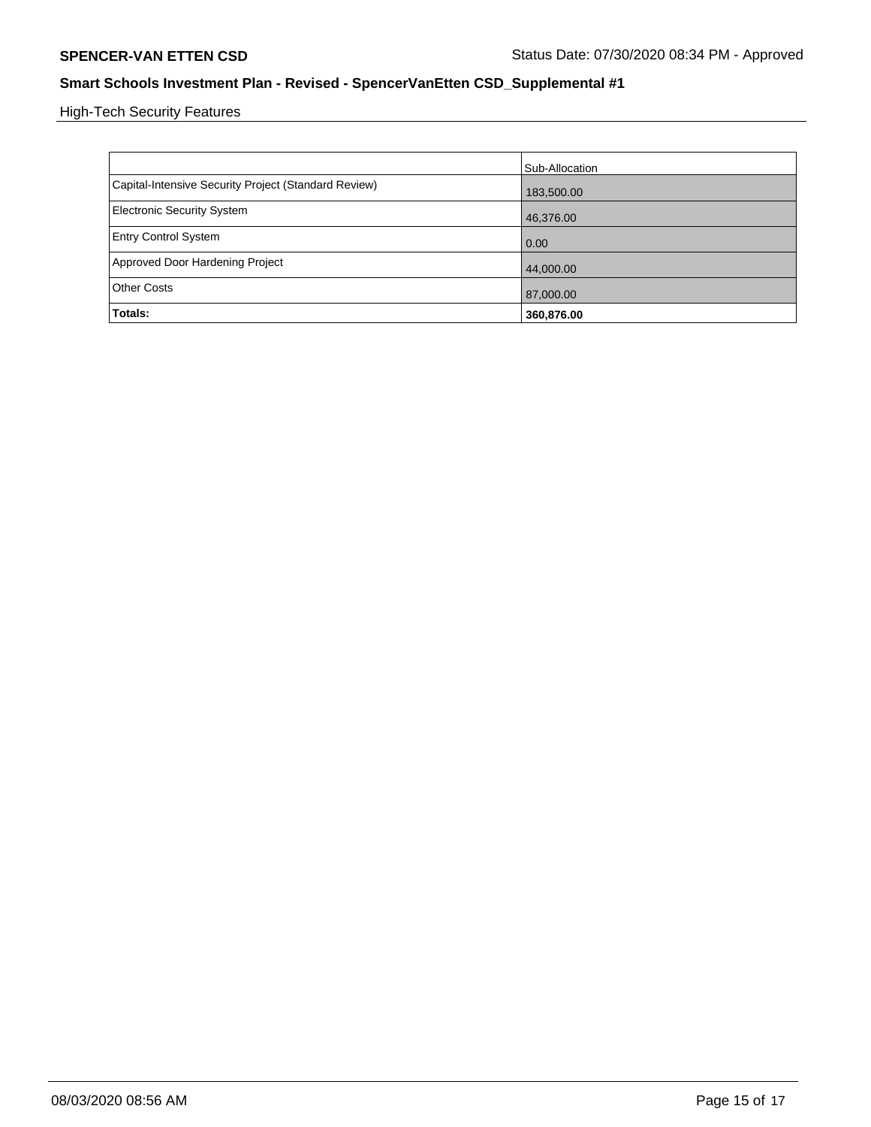High-Tech Security Features

|                                                      | Sub-Allocation |
|------------------------------------------------------|----------------|
| Capital-Intensive Security Project (Standard Review) | 183,500.00     |
| <b>Electronic Security System</b>                    | 46,376.00      |
| <b>Entry Control System</b>                          | 0.00           |
| Approved Door Hardening Project                      | 44,000.00      |
| <b>Other Costs</b>                                   | 87,000.00      |
| Totals:                                              | 360,876.00     |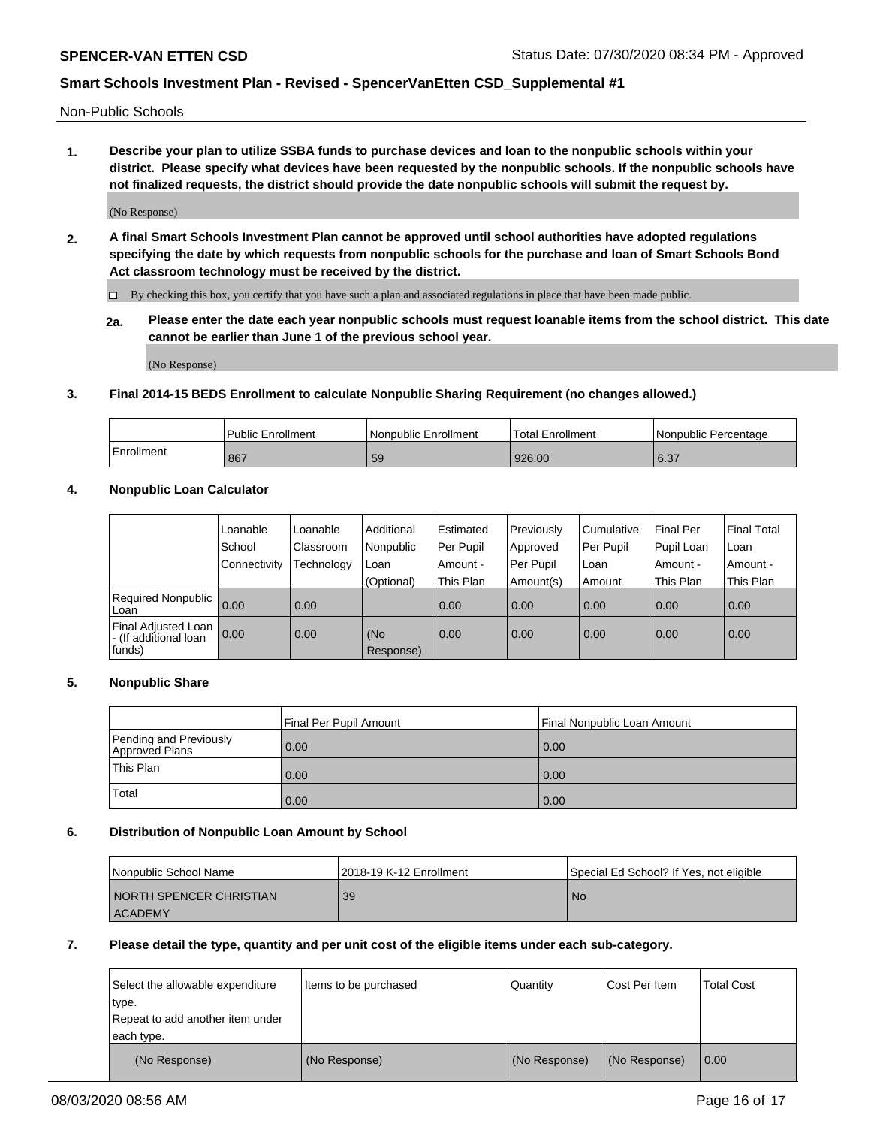Non-Public Schools

**1. Describe your plan to utilize SSBA funds to purchase devices and loan to the nonpublic schools within your district. Please specify what devices have been requested by the nonpublic schools. If the nonpublic schools have not finalized requests, the district should provide the date nonpublic schools will submit the request by.**

(No Response)

**2. A final Smart Schools Investment Plan cannot be approved until school authorities have adopted regulations specifying the date by which requests from nonpublic schools for the purchase and loan of Smart Schools Bond Act classroom technology must be received by the district.**

By checking this box, you certify that you have such a plan and associated regulations in place that have been made public.

**2a. Please enter the date each year nonpublic schools must request loanable items from the school district. This date cannot be earlier than June 1 of the previous school year.**

(No Response)

## **3. Final 2014-15 BEDS Enrollment to calculate Nonpublic Sharing Requirement (no changes allowed.)**

|            | Public Enrollment | l Nonpublic Enrollment | 'Total Enrollment | I Nonpublic Percentage |
|------------|-------------------|------------------------|-------------------|------------------------|
| Enrollment | 867               | 59                     | 926.00            | 6.37                   |

## **4. Nonpublic Loan Calculator**

|                                                        | Loanable     | Loanable   | Additional       | Estimated | Previously | Cumulative | <b>Final Per</b> | <b>Final Total</b> |
|--------------------------------------------------------|--------------|------------|------------------|-----------|------------|------------|------------------|--------------------|
|                                                        | School       | Classroom  | Nonpublic        | Per Pupil | Approved   | Per Pupil  | Pupil Loan       | Loan               |
|                                                        | Connectivity | Technology | Loan             | Amount -  | Per Pupil  | Loan       | Amount -         | Amount -           |
|                                                        |              |            | (Optional)       | This Plan | Amount(s)  | Amount     | This Plan        | This Plan          |
| Required Nonpublic  <br>Loan                           | 0.00         | 0.00       |                  | 0.00      | 0.00       | 0.00       | 0.00             | 0.00               |
| Final Adjusted Loan<br>- (If additional loan<br>funds) | 0.00         | 0.00       | (No<br>Response) | 0.00      | 0.00       | 0.00       | 0.00             | 0.00               |

## **5. Nonpublic Share**

|                                          | Final Per Pupil Amount | l Final Nonpublic Loan Amount |
|------------------------------------------|------------------------|-------------------------------|
| Pending and Previously<br>Approved Plans | 0.00                   | 0.00                          |
| <b>This Plan</b>                         | 0.00                   | 0.00                          |
| Total                                    | 0.00                   | 0.00                          |

## **6. Distribution of Nonpublic Loan Amount by School**

| Nonpublic School Name          | 12018-19 K-12 Enrollment | Special Ed School? If Yes, not eligible |
|--------------------------------|--------------------------|-----------------------------------------|
| <b>NORTH SPENCER CHRISTIAN</b> | 39                       | No                                      |
| ACADEMY                        |                          |                                         |

## **7. Please detail the type, quantity and per unit cost of the eligible items under each sub-category.**

| Select the allowable expenditure<br>type.<br>Repeat to add another item under<br>each type. | Items to be purchased | Quantity      | Cost Per Item | <b>Total Cost</b> |
|---------------------------------------------------------------------------------------------|-----------------------|---------------|---------------|-------------------|
| (No Response)                                                                               | (No Response)         | (No Response) | (No Response) | 0.00              |